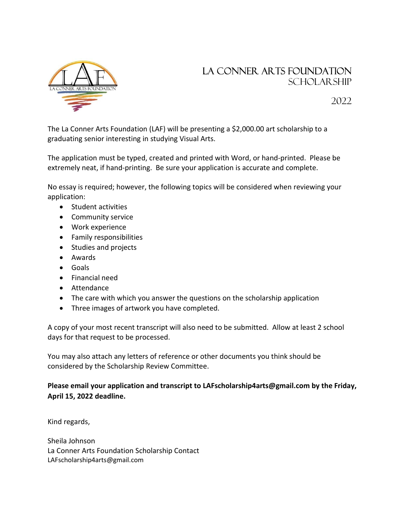

## La Conner Arts Foundation SCHOLAR SHIP

2022

The La Conner Arts Foundation (LAF) will be presenting a \$2,000.00 art scholarship to a graduating senior interesting in studying Visual Arts.

The application must be typed, created and printed with Word, or hand-printed. Please be extremely neat, if hand-printing. Be sure your application is accurate and complete.

No essay is required; however, the following topics will be considered when reviewing your application:

- Student activities
- Community service
- Work experience
- **•** Family responsibilities
- Studies and projects
- Awards
- Goals
- Financial need
- Attendance
- The care with which you answer the questions on the scholarship application
- Three images of artwork you have completed.

A copy of your most recent transcript will also need to be submitted. Allow at least 2 school days for that request to be processed.

You may also attach any letters of reference or other documents you think should be considered by the Scholarship Review Committee.

Please email your application and transcript to LAFscholarship4arts@gmail.com by the Friday, April 15, 2022 deadline.

Kind regards,

Sheila Johnson La Conner Arts Foundation Scholarship Contact LAFscholarship4arts@gmail.com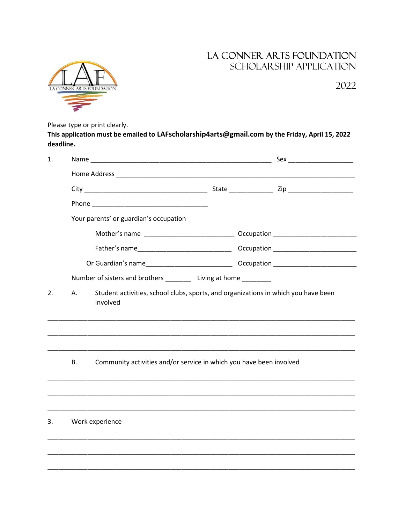## LA CONNER ARTS FOUNDATION SCHOLARSHIP APPLICATION



2022

Please type or print clearly.

This application must be emailed to LAFscholarship4arts@gmail.com by the Friday, April 15, 2022 deadline.

| 1. |                                                                                                      |  |  |  | Sex _________________________ |  |  |
|----|------------------------------------------------------------------------------------------------------|--|--|--|-------------------------------|--|--|
|    |                                                                                                      |  |  |  |                               |  |  |
|    |                                                                                                      |  |  |  |                               |  |  |
|    |                                                                                                      |  |  |  |                               |  |  |
|    | Your parents' or guardian's occupation                                                               |  |  |  |                               |  |  |
|    |                                                                                                      |  |  |  |                               |  |  |
|    |                                                                                                      |  |  |  |                               |  |  |
|    |                                                                                                      |  |  |  |                               |  |  |
|    | Number of sisters and brothers _________ Living at home ________                                     |  |  |  |                               |  |  |
| 2. | Student activities, school clubs, sports, and organizations in which you have been<br>Α.<br>involved |  |  |  |                               |  |  |
|    | Community activities and/or service in which you have been involved<br>В.                            |  |  |  |                               |  |  |
|    |                                                                                                      |  |  |  |                               |  |  |